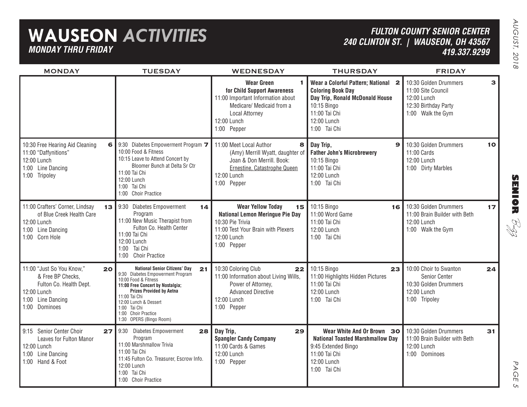## **WAUSEON** *ACTIVITIES MONDAY THRU FRIDAY*

### *FULTON COUNTY SENIOR CENTER 240 CLINTON ST. | WAUSEON, OH 43567 419.337.9299*

| <b>MONDAY</b>                                                                                                                        | <b>TUESDAY</b>                                                                                                                                                                                                                                                                             | <b>WEDNESDAY</b>                                                                                                                                                                | <b>THURSDAY</b>                                                                                                                                                   | <b>FRIDAY</b>                                                                                           |              |
|--------------------------------------------------------------------------------------------------------------------------------------|--------------------------------------------------------------------------------------------------------------------------------------------------------------------------------------------------------------------------------------------------------------------------------------------|---------------------------------------------------------------------------------------------------------------------------------------------------------------------------------|-------------------------------------------------------------------------------------------------------------------------------------------------------------------|---------------------------------------------------------------------------------------------------------|--------------|
|                                                                                                                                      |                                                                                                                                                                                                                                                                                            | <b>Wear Green</b><br>1.<br>for Child Support Awareness<br>11:00 Important Information about<br>Medicare/ Medicaid from a<br><b>Local Attorney</b><br>12:00 Lunch<br>1:00 Pepper | Wear a Colorful Pattern; National 2<br><b>Coloring Book Day</b><br>Day Trip, Ronald McDonald House<br>10:15 Bingo<br>11:00 Tai Chi<br>12:00 Lunch<br>1:00 Tai Chi | 10:30 Golden Drummers<br>11:00 Site Council<br>12:00 Lunch<br>12:30 Birthday Party<br>1:00 Walk the Gym | $\mathbf{3}$ |
| 6<br>10:30 Free Hearing Aid Cleaning<br>11:00 "Daffynitions"<br>12:00 Lunch<br>1:00 Line Dancing<br>1:00 Tripoley                    | 9:30 Diabetes Empowerment Program 7<br>10:00 Food & Fitness<br>10:15 Leave to Attend Concert by<br>Bloomer Bunch at Delta Sr Ctr<br>11:00 Tai Chi<br>12:00 Lunch<br>1:00 Tai Chi<br>1:00 Choir Practice                                                                                    | 11:00 Meet Local Author<br>8<br>(Amy) Merrill Wyatt, daughter of<br>Joan & Don Merrill. Book:<br>Ernestine, Catastrophe Queen<br>12:00 Lunch<br>1:00 Pepper                     | Day Trip,<br>$\mathbf{9}$<br><b>Father John's Microbrewery</b><br>10:15 Bingo<br>11:00 Tai Chi<br>12:00 Lunch<br>1:00 Tai Chi                                     | 10:30 Golden Drummers<br>11:00 Cards<br>12:00 Lunch<br>1:00 Dirty Marbles                               | 10           |
| 11:00 Crafters' Corner, Lindsay<br>of Blue Creek Health Care<br>12:00 Lunch<br>1:00 Line Dancing<br>1:00 Corn Hole                   | 13 9:30 Diabetes Empowerment<br>14<br>Program<br>11:00 New Music Therapist from<br>Fulton Co. Health Center<br>11:00 Tai Chi<br>12:00 Lunch<br>1:00 Tai Chi<br>1:00 Choir Practice                                                                                                         | <b>Wear Yellow Today</b><br>15 <sup>1</sup><br><b>National Lemon Meringue Pie Day</b><br>10:30 Pie Trivia<br>11:00 Test Your Brain with Plexers<br>12:00 Lunch<br>1:00 Pepper   | 10:15 Bingo<br>16<br>11:00 Word Game<br>11:00 Tai Chi<br>12:00 Lunch<br>1:00 Tai Chi                                                                              | 10:30 Golden Drummers<br>11:00 Brain Builder with Beth<br>12:00 Lunch<br>1:00 Walk the Gym              | 17           |
| 11:00 "Just So You Know,"<br>20<br>& Free BP Checks,<br>Fulton Co. Health Dept.<br>12:00 Lunch<br>1:00 Line Dancing<br>1:00 Dominoes | <b>National Senior Citizens' Day</b><br>21<br>9:30 Diabetes Empowerment Program<br>10:00 Food & Fitness<br>11:00 Free Concert by Nostalgia;<br><b>Prizes Provided by Aetna</b><br>11:00 Tai Chi<br>12:00 Lunch & Dessert<br>1:00 Tai Chi<br>1:00 Choir Practice<br>1:30 OPERS (Bingo Room) | 10:30 Coloring Club<br>22<br>11:00 Information about Living Wills,<br>Power of Attorney,<br><b>Advanced Directive</b><br>12:00 Lunch<br>1:00 Pepper                             | 10:15 Bingo<br>23<br>11:00 Highlights Hidden Pictures<br>11:00 Tai Chi<br>12:00 Lunch<br>1:00 Tai Chi                                                             | 10:00 Choir to Swanton<br>Senior Center<br>10:30 Golden Drummers<br>12:00 Lunch<br>1:00 Tripoley        | 24           |
| 9:15 Senior Center Choir<br>27<br>Leaves for Fulton Manor<br>12:00 Lunch<br>1:00 Line Dancing<br>1:00 Hand & Foot                    | 9:30 Diabetes Empowerment<br>28<br>Program<br>11:00 Marshmallow Trivia<br>11:00 Tai Chi<br>11:45 Fulton Co. Treasurer, Escrow Info.<br>12:00 Lunch<br>1:00 Tai Chi<br>1:00 Choir Practice                                                                                                  | Day Trip,<br>29<br><b>Spangler Candy Company</b><br>11:00 Cards & Games<br>12:00 Lunch<br>1:00 Pepper                                                                           | Wear White And Or Brown 30<br><b>National Toasted Marshmallow Day</b><br>9:45 Extended Bingo<br>11:00 Tai Chi<br>12:00 Lunch<br>1:00 Tai Chi                      | 10:30 Golden Drummers<br>11:00 Brain Builder with Beth<br>12:00 Lunch<br>1:00 Dominoes                  | 31           |

**SENIOR** B-zz

> PAGE PAGE 5  $\sigma$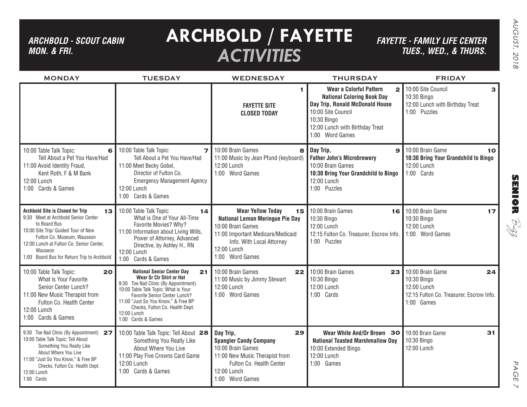## *ARCHBOLD - SCOUT CABIN MON. & FRI.*

# **ARCHBOLD / FAYETTE** *ACTIVITIES*

*FAYETTE - FAMILY LIFE CENTER TUES., Wed., & THURS.*

| <b>MONDAY</b>                                                                                                                                                                                                                                                                  | <b>TUESDAY</b>                                                                                                                                                                                                                                                                                       | <b>WEDNESDAY</b>                                                                                                                                                                                  | <b>THURSDAY</b>                                                                                                                                                                                                     | <b>FRIDAY</b>                                                                                                  |
|--------------------------------------------------------------------------------------------------------------------------------------------------------------------------------------------------------------------------------------------------------------------------------|------------------------------------------------------------------------------------------------------------------------------------------------------------------------------------------------------------------------------------------------------------------------------------------------------|---------------------------------------------------------------------------------------------------------------------------------------------------------------------------------------------------|---------------------------------------------------------------------------------------------------------------------------------------------------------------------------------------------------------------------|----------------------------------------------------------------------------------------------------------------|
|                                                                                                                                                                                                                                                                                |                                                                                                                                                                                                                                                                                                      | <b>FAYETTE SITE</b><br><b>CLOSED TODAY</b>                                                                                                                                                        | <b>Wear a Colorful Pattern</b><br>$\overline{2}$<br><b>National Coloring Book Day</b><br>Day Trip, Ronald McDonald House<br>10:00 Site Council<br>10:30 Bingo<br>12:00 Lunch with Birthday Treat<br>1:00 Word Games | 10:00 Site Council<br>з<br>10:30 Bingo<br>12:00 Lunch with Birthday Treat<br>1:00 Puzzles                      |
| 10:00 Table Talk Topic:<br>6<br>Tell About a Pet You Have/Had<br>11:00 Avoid Identity Fraud,<br>Kent Roth, F & M Bank<br>12:00 Lunch<br>1:00 Cards & Games                                                                                                                     | 10:00 Table Talk Topic:<br>Tell About a Pet You Have/Had<br>11:00 Meet Becky Gobel,<br>Director of Fulton Co.<br><b>Emergency Management Agency</b><br>12:00 Lunch<br>1:00 Cards & Games                                                                                                             | 7 10:00 Brain Games<br>8<br>11:00 Music by Jean Pfund (keyboard)<br>12:00 Lunch<br>1:00 Word Games                                                                                                | Day Trip,<br>$\mathbf{Q}$<br><b>Father John's Microbrewery</b><br>10:00 Brain Games<br>10:30 Bring Your Grandchild to Bingo<br>12:00 Lunch<br>1:00 Puzzles                                                          | 10:00 Brain Game<br>10<br>10:30 Bring Your Grandchild to Bingo<br>12:00 Lunch<br>1:00 Cards                    |
| <b>Archbold Site is Closed for Trip</b><br>13<br>9:30 Meet at Archbold Senior Center<br>to Board Bus<br>10:00 Site Trip/ Guided Tour of New<br>Fulton Co. Museum, Wauseon<br>12:00 Lunch at Fulton Co. Senior Center,<br>Wauseon<br>1:00 Board Bus for Return Trip to Archbold | 10:00 Table Talk Topic:<br>14<br>What is One of Your All-Time<br>Favorite Movies? Why?<br>11:00 Information about Living Wills,<br>Power of Attorney, Advanced<br>Directive, by Ashley H., RN<br>12:00 Lunch<br>1:00 Cards & Games                                                                   | <b>Wear Yellow Today</b><br>15<br><b>National Lemon Meringue Pie Day</b><br>10:00 Brain Games<br>11:00 Important Medicare/Medicaid<br>Info. With Local Attorney<br>12:00 Lunch<br>1:00 Word Games | 10:00 Brain Games<br>16<br>10:30 Bingo<br>12:00 Lunch<br>12:15 Fulton Co. Treasurer, Escrow Info.<br>1:00 Puzzles                                                                                                   | 10:00 Brain Game<br>17<br>10:30 Bingo<br>12:00 Lunch<br>1:00 Word Games                                        |
| 10:00 Table Talk Topic:<br>20<br>What is Your Favorite<br>Senior Center Lunch?<br>11:00 New Music Therapist from<br>Fulton Co. Health Center<br>12:00 Lunch<br>1:00 Cards & Games                                                                                              | <b>National Senior Center Day</b><br>21<br>Wear Sr Ctr Shirt or Hat<br>9:30 Toe Nail Clinic (By Appointment)<br>10:00 Table Talk Topic: What is Your<br>Favorite Senior Center Lunch?<br>11:00 "Just So You Know," & Free BP<br>Checks, Fulton Co. Health Dept.<br>12:00 Lunch<br>1:00 Cards & Games | 10:00 Brain Games<br>22<br>11:00 Music by Jimmy Stewart<br>12:00 Lunch<br>1:00 Word Games                                                                                                         | 10:00 Brain Games<br>23<br>10:30 Bingo<br>12:00 Lunch<br>1:00 Cards                                                                                                                                                 | 10:00 Brain Game<br>24<br>10:30 Bingo<br>12:00 Lunch<br>12:15 Fulton Co. Treasurer, Escrow Info.<br>1:00 Games |
| 9:30 Toe Nail Clinic (By Appointment) 27<br>10:00 Table Talk Topic: Tell About<br>Something You Really Like<br>About Where You Live<br>11:00 "Just So You Know," & Free BP<br>Checks, Fulton Co. Health Dept.<br>12:00 Lunch<br>1:00 Cards                                     | 10:00 Table Talk Topic: Tell About 28<br>Something You Really Like<br>About Where You Live<br>11:00 Play Five Crowns Card Game<br>12:00 Lunch<br>1:00 Cards & Games                                                                                                                                  | 29<br>Day Trip,<br><b>Spangler Candy Company</b><br>10:00 Brain Games<br>11:00 New Music Therapist from<br>Fulton Co. Health Center<br>12:00 Lunch<br>1:00 Word Games                             | Wear White And/Or Brown 30<br><b>National Toasted Marshmallow Day</b><br>10:00 Extended Bingo<br>12:00 Lunch<br>1:00 Games                                                                                          | 31<br>10:00 Brain Game<br>10:30 Bingo<br>12:00 Lunch                                                           |

PAGE PAGE 7  $\vee$ 

**SENIOR** B-zz